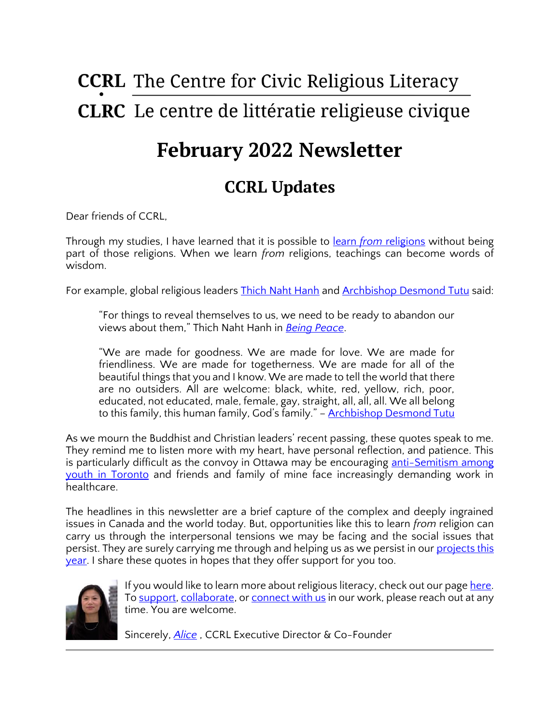# **CCRL** The Centre for Civic Religious Literacy **CLRC** Le centre de littératie religieuse civique

## **February 2022 Newsletter**

## **CCRL Updates**

Dear friends of CCRL,

Through my studies, I have learned that it is possible to learn *from* [religions](https://www.iarf.net/REBooklet/Hull.htm) without being part of those religions. When we learn *from* religions, teachings can become words of wisdom.

For example, global religious leaders **Thich Naht Hanh and [Archbishop Desmond Tutu](https://religionnews.com/2021/12/26/desmond-tutu-remembered-as-archbishop-activist-apartheid-foe-apartheid-anglican-archbishop/)** said:

"For things to reveal themselves to us, we need to be ready to abandon our views about them," Thich Naht Hanh in *[Being Peace](https://www.amazon.ca/dp/188837540X?ascsubtag=%5bartid%7C10072.g.29092056%5bsrc%7C%5bch%7C%5blt%7C&linkCode=gs2&tag=hearstmagazin-20)*.

"We are made for goodness. We are made for love. We are made for friendliness. We are made for togetherness. We are made for all of the beautiful things that you and I know. We are made to tell the world that there are no outsiders. All are welcome: black, white, red, yellow, rich, poor, educated, not educated, male, female, gay, straight, all, all, all. We all belong to this family, this human family, God's family." – **[Archbishop Desmond Tutu](https://www.goodreads.com/author/quotes/5943.Desmond_Tutu)** 

As we mourn the Buddhist and Christian leaders' recent passing, these quotes speak to me. They remind me to listen more with my heart, have personal reflection, and patience. This is particularly difficult as the convoy in Ottawa may be encouraging anti-Semitism among [youth in Toronto](https://globalnews.ca/news/8603868/antisemetic-incidents-north-york-school/) and friends and family of mine face increasingly demanding work in healthcare.

The headlines in this newsletter are a brief capture of the complex and deeply ingrained issues in Canada and the world today. But, opportunities like this to learn *from* religion can carry us through the interpersonal tensions we may be facing and the social issues that persist. They are surely carrying me through and helping us as we persist in our [projects this](https://ccrl-clrc.ca/projects/)  [year.](https://ccrl-clrc.ca/projects/) I share these quotes in hopes that they offer support for you too.



If you would like to learn more about religious literacy, check out our page [here.](https://ccrl-clrc.ca/work/civic-religious-literacy/) To [support,](https://ccrl-clrc.ca/support-us/) [collaborate,](https://ccrl-clrc.ca/about-ccrl/partners/) or [connect with us](https://ccrl-clrc.ca/contact/) in our work, please reach out at any time. You are welcome.

Sincerely, *[Alice](https://ccrl-clrc.ca/alice-chan/)* , CCRL Executive Director & Co-Founder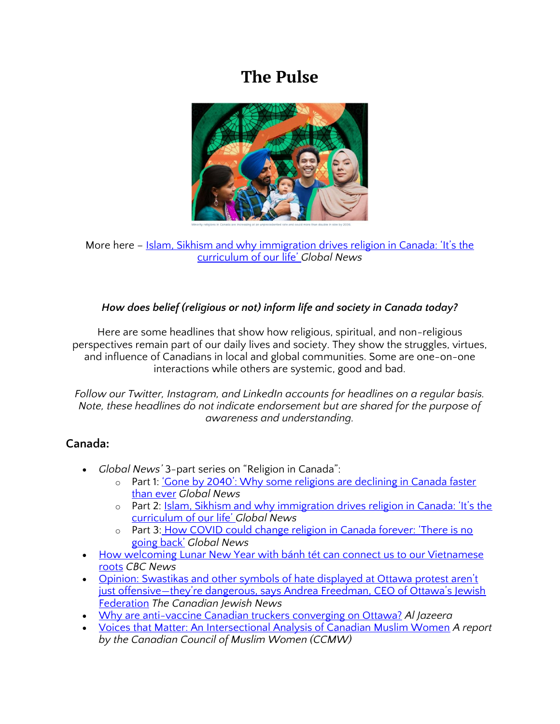### **The Pulse**



More here – [Islam, Sikhism and why immigration drives religion in Canada: 'It's the](https://globalnews.ca/news/8471540/islam-sikhism-religion-canada/)  [curriculum of our life'](https://globalnews.ca/news/8471540/islam-sikhism-religion-canada/) *Global News*

#### *How does belief (religious or not) inform life and society in Canada today?*

Here are some headlines that show how religious, spiritual, and non-religious perspectives remain part of our daily lives and society. They show the struggles, virtues, and influence of Canadians in local and global communities. Some are one-on-one interactions while others are systemic, good and bad.

*Follow our Twitter, Instagram, and LinkedIn accounts for headlines on a regular basis. Note, these headlines do not indicate endorsement but are shared for the purpose of awareness and understanding.* 

#### **Canada:**

- *Global News'* 3-part series on "Religion in Canada":
	- o Part 1: 'Cone by 2040': Why some religions are declining in Canada faster [than ever](https://globalnews.ca/news/8471086/religion-decline-canada/) *Global News*
	- o Part 2: [Islam, Sikhism and why immigration drives religion in Canada: 'It's the](https://globalnews.ca/news/8471540/islam-sikhism-religion-canada/)  [curriculum of our life'](https://globalnews.ca/news/8471540/islam-sikhism-religion-canada/) *Global News*
	- o Part 3: How COVID could change religion in Canada forever: 'There is no [going back'](https://globalnews.ca/news/8471775/covid-religion-canada-future/) *Global News*
- [How welcoming Lunar New Year with bánh tét can connect us to our Vietnamese](https://www.cbc.ca/life/food/how-welcoming-lunar-new-year-with-banh-tet-can-connect-us-to-our-vietnamese-roots-1.6323050)  [roots](https://www.cbc.ca/life/food/how-welcoming-lunar-new-year-with-banh-tet-can-connect-us-to-our-vietnamese-roots-1.6323050) *CBC News*
- [Opinion: Swastikas and other symbols of hate displayed at Ottawa protest aren't](https://thecjn.ca/perspectives/swastikas-and-other-symbols-of-hate-displayed-at-ottawa-protest-arent-just-offensive-but-dangerous-says-andrea-freedman-ceo-of-ottawas-jewish-federation/)  just offensive[—they're dangerous, says Andrea Freedman, CEO of Ottawa's Jewish](https://thecjn.ca/perspectives/swastikas-and-other-symbols-of-hate-displayed-at-ottawa-protest-arent-just-offensive-but-dangerous-says-andrea-freedman-ceo-of-ottawas-jewish-federation/)  [Federation](https://thecjn.ca/perspectives/swastikas-and-other-symbols-of-hate-displayed-at-ottawa-protest-arent-just-offensive-but-dangerous-says-andrea-freedman-ceo-of-ottawas-jewish-federation/) *The Canadian Jewish News*
- [Why are anti-vaccine Canadian truckers converging on Ottawa?](https://www.aljazeera.com/news/2022/1/28/why-are-anti-vaccine-canadian-truckers-converging-on-ottawa) *Al Jazeera*
- [Voices that Matter: An Intersectional Analysis of Canadian Muslim Women](https://www.ccmw.com/voices-that-matter-report) *A report by the Canadian Council of Muslim Women (CCMW)*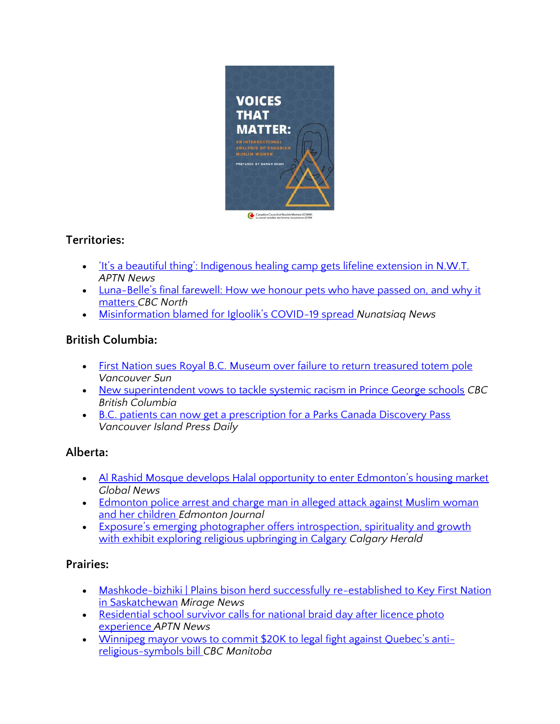

#### **Territories:**

- <u>The Superialist of the setting</u> indigenous healing camp gets lifeline extension in N.W.T. *APTN News*
- Luna-[Belle's final farewell: How we honour pets who have passed on,](https://www.cbc.ca/news/canada/north/luna-belle-memorial-pet-funeral-1.6311220) and why it [matters](https://www.cbc.ca/news/canada/north/luna-belle-memorial-pet-funeral-1.6311220) *CBC North*
- [Misinformation blamed for Igloolik's COVID](https://nunatsiaq.com/stories/article/misinformation-blamed-for-iglooliks-covid-19-spread/)-19 spread *Nunatsiaq News*

#### **British Columbia:**

- First Nation sues Royal B.C. Museum over failure to return treasured totem pole *Vancouver Sun*
- [New superintendent vows to tackle systemic racism in Prince George schools](https://www.cbc.ca/news/canada/british-columbia/prince-george-new-superintendent-1.6339145) *CBC British Columbia*
- B.C. patients can now get a prescription for a Parks Canada Discovery Pass *Vancouver Island Press Daily*

#### **Alberta:**

- [Al Rashid Mosque develops Halal opportunity to enter Edmonton's housing market](https://globalnews.ca/video/8599010/al-rashid-mosque-develops-halal-opportunity-to-enter-edmontons-housing-market/) *Global News*
- Edmonton police arrest and charge man in alleged attack against Muslim woman [and her children](https://edmontonjournal.com/news/crime/edmonton-police-arrest-and-charge-man-in-attack-against-muslim-woman-and-her-children) *Edmonton Journal*
- [Exposure's emerging photographer offers introspection, sp](https://calgaryherald.com/entertainment/local-arts/exposures-emerging-photographer-offers-introspection-spirituality-and-growth-with-exhibit-exploring-religious-upbringing-in-calgary)irituality and growth [with exhibit exploring religious upbringing in Calgary](https://calgaryherald.com/entertainment/local-arts/exposures-emerging-photographer-offers-introspection-spirituality-and-growth-with-exhibit-exploring-religious-upbringing-in-calgary) *Calgary Herald*

#### **Prairies:**

- Mashkode-bizhiki | Plains bison herd successfully re-established to Key First Nation [in Saskatchewan](https://www.miragenews.com/mashkode-bizhiki-plains-bison-herd-successfully-716601/) *Mirage News*
- Residential school survivor calls for national braid day after licence photo [experience](https://www.aptnnews.ca/national-news/residential-school-survivor-calls-for-national-braid-day-after-licence-photo-experience/) *APTN News*
- [Winnipeg mayor vows to commit \\$20K to legal fight against Quebec's anti](https://www.cbc.ca/news/canada/manitoba/mayor-winnipeg-commits-20-thousand-fight-against-bill-21-1.6335533)[religious-symbols](https://www.cbc.ca/news/canada/manitoba/mayor-winnipeg-commits-20-thousand-fight-against-bill-21-1.6335533) bill *CBC Manitoba*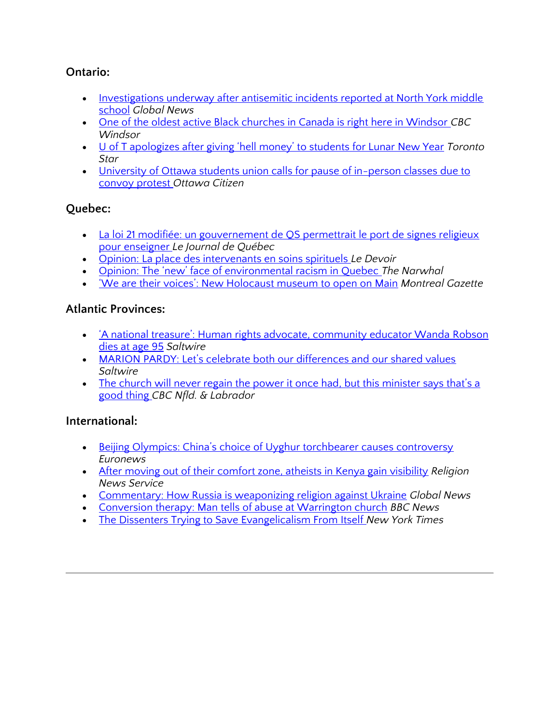#### **Ontario:**

- [Investigations underway after antisemitic incidents reported at North York middle](https://globalnews.ca/news/8603868/antisemetic-incidents-north-york-school/)  [school](https://globalnews.ca/news/8603868/antisemetic-incidents-north-york-school/) *Global News*
- [One of the oldest active Black churches in Canada is right here in Windsor](https://www.cbc.ca/news/canada/windsor/sandwich-first-baptist-history-1.6335903) *CBC Windsor*
- [U of T apologizes after giving 'hell money' to students for Lunar New Year](https://www.thestar.com/news/gta/2022/02/04/u-of-t-apologizes-after-giving-hell-money-to-students-for-lunar-new-year.html) *Toronto Star*
- University of Ottawa students union calls for pause of in-person classes due to [convoy protest](https://ottawacitizen.com/news/local-news/university-of-ottawa-students-union-calls-for-pause-of-in-person-classes-due-to-convoy-protest) *Ottawa Citizen*

#### **Quebec:**

- La loi 21 modifiée: un gouvernement de QS permettrait le port de signes religieux [pour enseigner](https://www.journaldequebec.com/2022/01/26/la-loi-21-modifiee-un-gouvernement-de-qs-permettrait-le-port-de-signes-religieux-pour-enseigner) *Le Journal de Québec*
- [Opinion: La place des intervenants en soins spirituels](https://www.ledevoir.com/opinion/idees/668415/idees-la-place-des-intervenants-en-soins-spirituels) *Le Devoir*
- [Opinion: The 'new' face of environmental racism in Quebec](https://thenarwhal.ca/opinion-quebec-caribou-environmental-racism/) *The Narwhal*
- ['We are their voices': New Holocaust museum to open on Main](https://montrealgazette.com/news/local-news/embargoed-new-holocaust-museum-to-open-on-main) *Montreal Gazette*

#### **Atlantic Provinces:**

- ['A national treasure': Human rights advocate, community educator Wanda](https://www.saltwire.com/nova-scotia/news/a-national-treasure-human-rights-advocate-community-educator-wanda-robson-dies-at-age-95-100690084/) Robson [dies at age 95](https://www.saltwire.com/nova-scotia/news/a-national-treasure-human-rights-advocate-community-educator-wanda-robson-dies-at-age-95-100690084/) *Saltwire*
- [MARION PARDY: Let's celebrate both our differences and our shared values](https://www.saltwire.com/atlantic-canada/opinion/marion-pardy-lets-celebrate-both-our-differences-and-our-shared-values-100689048/) *Saltwire*
- The church will never regain the power it once had, but this minister says that's a [good thing](https://www.cbc.ca/news/canada/newfoundland-labrador/robert-cooke-new-spirituality-1.6313429) *CBC Nfld. & Labrador*

#### **International:**

- [Beijing Olympics: China's choice of Uyghur torchbearer causes controversy](https://www.euronews.com/2022/02/05/beijing-olympics-china-s-choice-of-uyghur-torchbearer-causes-controversy) *Euronews*
- [After moving out of their comfort zone, atheists in Kenya gain visibility](https://religionnews.com/2022/02/07/after-moving-out-of-their-comfort-zone-atheists-in-kenya-gain-visibility/) *Religion News Service*
- [Commentary: How Russia is weaponizing religion against Ukraine](https://globalnews.ca/news/8602792/russia-ukraine-conflict-religion/) *Global News*
- [Conversion therapy: Man tells of abuse at Warrington church](https://www.bbc.co.uk/news/uk-england-merseyside-60235394) *BBC News*
- [The Dissenters Trying to Save Evangelicalism From Itself](https://www.nytimes.com/2022/02/04/opinion/evangelicalism-division-renewal.html) *New York Times*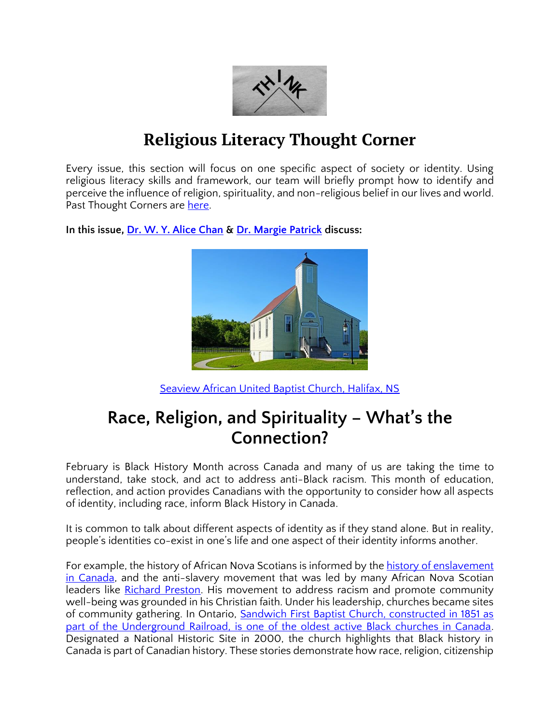

## **Religious Literacy Thought Corner**

Every issue, this section will focus on one specific aspect of society or identity. Using religious literacy skills and framework, our team will briefly prompt how to identify and perceive the influence of religion, spirituality, and non-religious belief in our lives and world. Past Thought Corners are [here.](https://ccrl-clrc.ca/thought-corner/)

**In this issue, [Dr. W. Y. Alice Chan](https://ccrl-clrc.ca/alice-chan/) & [Dr. Margie Patrick](https://ccrl-clrc.ca/margie-patrick/) discuss:** 



[Seaview African United Baptist Church, Halifax, NS](https://commons.m.wikimedia.org/wiki/File:Halifax_NS-01334_-_Seaview_African_United_Baptist_Church_(28442814894).jpg)

## **Race, Religion, and Spirituality – What's the Connection?**

February is Black History Month across Canada and many of us are taking the time to understand, take stock, and act to address anti-Black racism. This month of education, reflection, and action provides Canadians with the opportunity to consider how all aspects of identity, including race, inform Black History in Canada.

It is common to talk about different aspects of identity as if they stand alone. But in reality, people's identities co-exist in one's life and one aspect of their identity informs another.

For example, the history of African Nova Scotians is informed by the history of enslavement [in Canada,](https://archives.novascotia.ca/africanns/results/?Search=&SearchList1=1) and the anti-slavery movement that was led by many African Nova Scotian leaders like [Richard Preston.](https://www.halifaxexaminer.ca/featured/richard-preston-the-founder-of-the-black-nova-scotian-community/) His movement to address racism and promote community well-being was grounded in his Christian faith. Under his leadership, churches became sites of community gathering. In Ontario, [Sandwich First Baptist Church, constructed in 1851 as](https://www.cbc.ca/news/canada/windsor/sandwich-first-baptist-history-1.6335903)  [part of the Underground Railroad, is one of the oldest active Black churches in Canada.](https://www.cbc.ca/news/canada/windsor/sandwich-first-baptist-history-1.6335903) Designated a National Historic Site in 2000, the church highlights that Black history in Canada is part of Canadian history. These stories demonstrate how race, religion, citizenship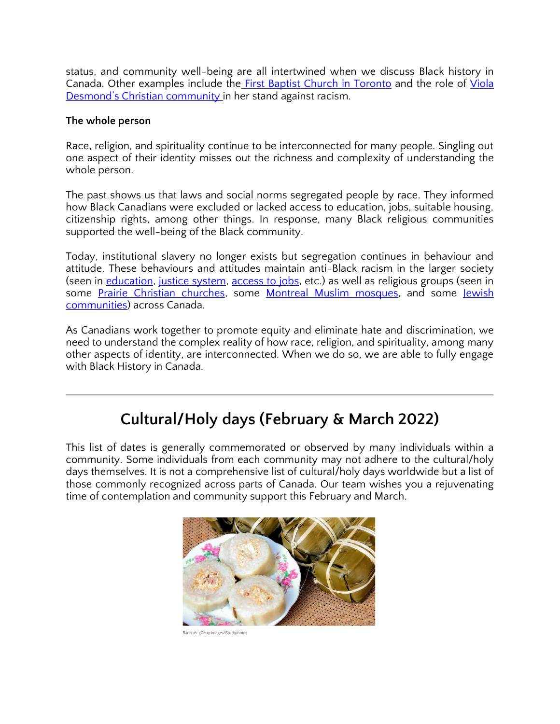status, and community well-being are all intertwined when we discuss Black history in Canada. Other examples include the [First Baptist Church in Toronto](https://www.fbctoronto.ca/overview/) and the role of Viola [Desmond's Christian community](https://ottawacitizen.com/news/national/15-canadian-stories-viola-desmond-reluctant-social-activist) in her stand against racism.

#### **The whole person**

Race, religion, and spirituality continue to be interconnected for many people. Singling out one aspect of their identity misses out the richness and complexity of understanding the whole person.

The past shows us that laws and social norms segregated people by race. They informed how Black Canadians were excluded or lacked access to education, jobs, suitable housing, citizenship rights, among other things. In response, many Black religious communities supported the well-being of the Black community.

Today, institutional slavery no longer exists but segregation continues in behaviour and attitude. These behaviours and attitudes maintain anti-Black racism in the larger society (seen in [education,](https://www.penguinrandomhouse.ca/books/536075/the-skin-were-in-by-desmond-cole/9780385686341) [justice system,](https://www.ctvnews.ca/canada/striking-shocking-and-saddening-study-finds-black-men-overrepresented-in-ontario-jails-1.5445019) [access to jobs,](https://www.csps-efpc.gc.ca/events/anti-racism/addressing-employment-barries-eng.aspx) etc.) as well as religious groups (seen in some [Prairie Christian churches,](https://www.cbc.ca/news/canada/edmonton/bop-prairie-churches-still-divided-race-1.5899168) some [Montreal Muslim mosques,](https://www.cbc.ca/news/canada/montreal/black-muslim-women-empowering-each-other-to-break-stereotypes-within-their-own-communities-1.5096136) and some Jewish [communities\)](https://jewsofcolour.ca/2021/05/28/the-canadian-jewish-community-must-do-more/) across Canada.

As Canadians work together to promote equity and eliminate hate and discrimination, we need to understand the complex reality of how race, religion, and spirituality, among many other aspects of identity, are interconnected. When we do so, we are able to fully engage with Black History in Canada.

## **Cultural/Holy days (February & March 2022)**

This list of dates is generally commemorated or observed by many individuals within a community. Some individuals from each community may not adhere to the cultural/holy days themselves. It is not a comprehensive list of cultural/holy days worldwide but a list of those commonly recognized across parts of Canada. Our team wishes you a rejuvenating time of contemplation and community support this February and March.



.<br>Bánh tét. (Getty Images/iStockphoto